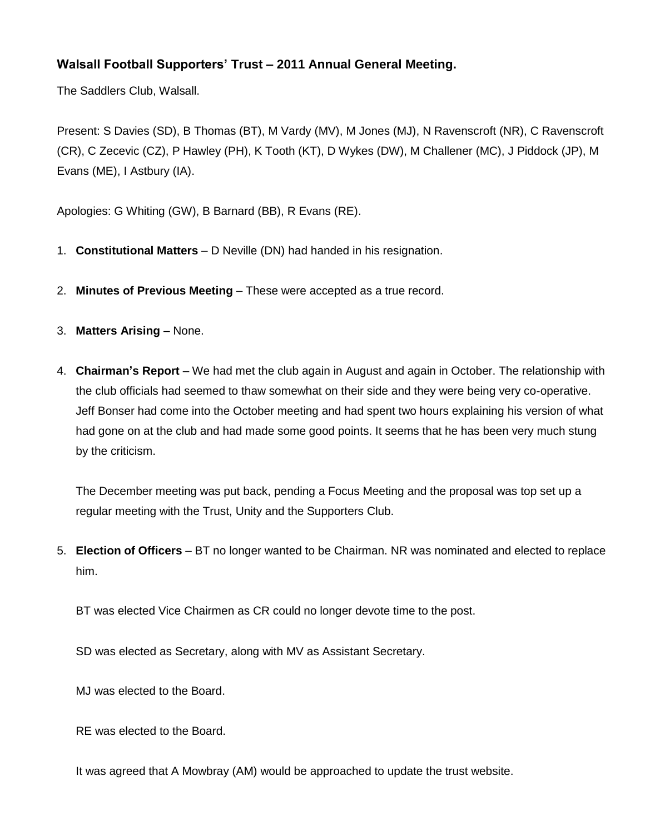## **Walsall Football Supporters' Trust – 2011 Annual General Meeting.**

The Saddlers Club, Walsall.

Present: S Davies (SD), B Thomas (BT), M Vardy (MV), M Jones (MJ), N Ravenscroft (NR), C Ravenscroft (CR), C Zecevic (CZ), P Hawley (PH), K Tooth (KT), D Wykes (DW), M Challener (MC), J Piddock (JP), M Evans (ME), I Astbury (IA).

Apologies: G Whiting (GW), B Barnard (BB), R Evans (RE).

- 1. **Constitutional Matters** D Neville (DN) had handed in his resignation.
- 2. **Minutes of Previous Meeting** These were accepted as a true record.
- 3. **Matters Arising** None.
- 4. **Chairman's Report** We had met the club again in August and again in October. The relationship with the club officials had seemed to thaw somewhat on their side and they were being very co-operative. Jeff Bonser had come into the October meeting and had spent two hours explaining his version of what had gone on at the club and had made some good points. It seems that he has been very much stung by the criticism.

The December meeting was put back, pending a Focus Meeting and the proposal was top set up a regular meeting with the Trust, Unity and the Supporters Club.

5. **Election of Officers** – BT no longer wanted to be Chairman. NR was nominated and elected to replace him.

BT was elected Vice Chairmen as CR could no longer devote time to the post.

SD was elected as Secretary, along with MV as Assistant Secretary.

MJ was elected to the Board.

RE was elected to the Board.

It was agreed that A Mowbray (AM) would be approached to update the trust website.